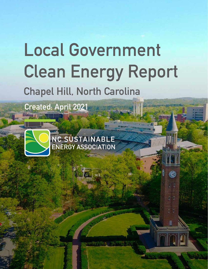# **Local Government Clean Energy Report Chapel Hill, North Carolina**

紫

r y

 $\overline{g}$   $\overline{g}$ 

**Created: April 2021**



NC SUSTAINABLE<br>ENERGY ASSOCIATION

**1 Local Government Clean Energy Report - Chapel Hill, North Carolina**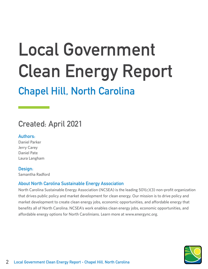# **Local Government Clean Energy Report**

# **Chapel Hill, North Carolina**

### **Created: April 2021**

### **Authors:**

Daniel Parker Jerry Carey Daniel Pate Laura Langham

### **Design:**

Samantha Radford

### **About North Carolina Sustainable Energy Association**

North Carolina Sustainable Energy Association (NCSEA) is the leading 501(c)(3) non-profit organization that drives public policy and market development for clean energy. Our mission is to drive policy and market development to create clean energy jobs, economic opportunities, and affordable energy that benefits all of North Carolina. NCSEA's work enables clean energy jobs, economic opportunities, and affordable energy options for North Carolinians. Learn more at www.energync.org.

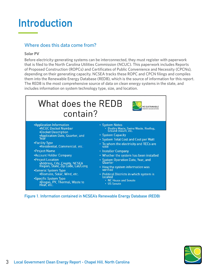# **Introduction**

### Where does this data come from?

### **Solar PV**

Before electricity-generating systems can be interconnected, they must register with paperwork that is filed to the North Carolina Utilities Commission (NCUC). This paperwork includes Reports of Proposed Construction (ROPCs) and Certificates of Public Convenience and Necessity (CPCNs), depending on their generating capacity. NCSEA tracks these ROPC and CPCN filings and compiles them into the Renewable Energy Database (REDB), which is the source of information for this report. The REDB is the most comprehensive source of data on clean energy systems in the state, and includes information on system technology type, size, and location.



**Figure 1. Information contained in NCSEA's Renewable Energy Database (REDB)**

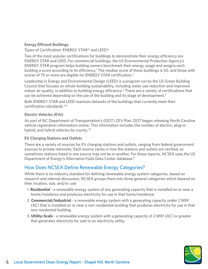#### **Energy Efficient Buildings**

Types of Certification: ENERGY STAR® and LEED®

Two of the most popular certifications for buildings to demonstrate their energy efficiency are ENERGY STAR and LEED. For commercial buildings, the US Environmental Protection Agency's ENERGY STAR program helps building owners benchmark their energy usage and assigns each building a score according to its efficiency.<sup>1</sup> The median score of these buildings is 50, and those with scores of 75 or more are eligible for ENERGY STAR certification.<sup>2</sup>

Leadership in Energy and Environmental Design (LEED) is a program run by the US Green Building Council that focuses on whole-building sustainability, including water use reduction and improved indoor air quality, in addition to building energy efficiency.<sup>3</sup> There are a variety of certifications that can be achieved depending on the use of the building and its stage of development.<sup>4</sup>

Both ENERGY STAR and LEED maintain datasets of the buildings that currently meet their certification standards.5,6

### **Electric Vehicles (EVs)**

As part of NC Department of Transportation's (DOT) ZEV Plan, DOT began releasing North Carolina vehicle registration information online. This information includes the number of electric, plug-in hybrid, and hybrid vehicles by county.<sup>7,8</sup>

### **EV Charging Stations and Outlets**

There are a variety of sources for EV charging stations and outlets, ranging from federal government sources to private networks. Each source varies in how the stations and outlets are verified, so sometimes stations listed in one source may not be in another. For these reports, NCSEA uses the US Department of Energy's Alternative Fuels Data Center database.<sup>9</sup>

### How Does NCSEA Define Renewable Energy Categories?

While there is no industry standard for defining renewable energy system categories, based on research and internal discussion, NCSEA groups them into three general categories which depend on their location, size, and/or use:

- 1. **Residential** a renewable energy system of any generating capacity that is installed on or near a home/residence and produces electricity for use in that home/residence.
- 2. **Commercial/Industrial** a renewable energy system with a generating capacity under 2 MW (AC) that is installed on or near a non-residential building that produces electricity for use in that non-residential building.
- 3. **Utility-Scale** a renewable energy system with a generating capacity of 2 MW (AC) or greater that generates electricity for sale to an electricity utility.

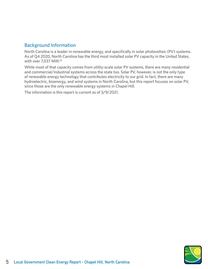### Background Information

North Carolina is a leader in renewable energy, and specifically in solar photovoltaic (PV) systems. As of Q4 2020, North Carolina has the third most installed solar PV capacity in the United States, with over 7,037 MW.<sup>10</sup>

While most of that capacity comes from utility-scale solar PV systems, there are many residential and commercial/industrial systems across the state too. Solar PV, however, is not the only type of renewable energy technology that contributes electricity to our grid. In fact, there are many hydroelectric, bioenergy, and wind systems in North Carolina, but this report focuses on solar PV, since those are the only renewable energy systems in Chapel Hill.

The information is this report is current as of 3/9/2021.

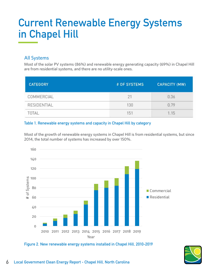# **Current Renewable Energy Systems in Chapel Hill**

### All Systems

Most of the solar PV systems (86%) and renewable energy generating capacity (69%) in Chapel Hill are from residential systems, and there are no utility-scale ones.

| <b>CATEGORY</b> | # OF SYSTEMS | <b>CAPACITY (MW)</b> |
|-----------------|--------------|----------------------|
| COMMERCIAL      | 21           | 0.36                 |
| RESIDENTIAL     | 130          | 0.79                 |
| TOTAL           | 151          | 1.15                 |

### **Table 1. Renewable energy systems and capacity in Chapel Hill by category**

Most of the growth of renewable energy systems in Chapel Hill is from residential systems, but since 2014, the total number of systems has increased by over 150%.



**Figure 2. New renewable energy systems installed in Chapel Hill, 2010-2019**

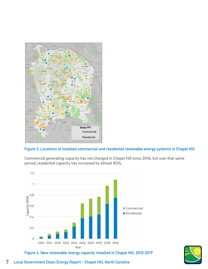

**Figure 3. Locations of installed commercial and residential renewable energy systems in Chapel Hill**

Commercial generating capacity has not changed in Chapel Hill since 2016, but over that same period, residential capacity has increased by almost 85%.





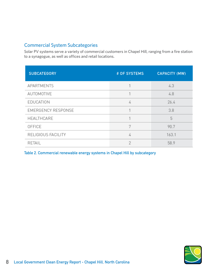### Commercial System Subcategories

Solar PV systems serve a variety of commercial customers in Chapel Hill, ranging from a fire station to a synagogue, as well as offices and retail locations.

| <b>SUBCATEGORY</b>        | # OF SYSTEMS | <b>CAPACITY (MW)</b> |
|---------------------------|--------------|----------------------|
| <b>APARTMENTS</b>         |              | 4.3                  |
| AUTOMOTIVE                |              | 4.8                  |
| EDUCATION                 | 4            | 26.4                 |
| <b>EMERGENCY RESPONSE</b> |              | 3.8                  |
| <b>HEALTHCARE</b>         |              | 5                    |
| OFFICE                    | 7            | 90.7                 |
| RELIGIOUS FACILITY        | 4            | 163.1                |
| RETAIL                    | 2            | 58.9                 |

**Table 2. Commercial renewable energy systems in Chapel Hill by subcategory**

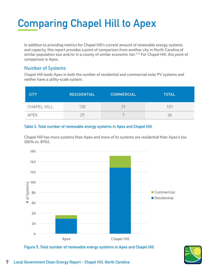# **Comparing Chapel Hill to Apex**

In addition to providing metrics for Chapel Hill's current amount of renewable energy systems and capacity, this report provides a point of comparison from another city in North Carolina of similar population size and/or in a county of similar economic tier.<sup>11,12</sup> For Chapel Hill, this point of comparison is Apex.

### Number of Systems

Chapel Hill leads Apex in both the number of residential and commercial solar PV systems and neither have a utility-scale system.

| <b>CITY</b> | <b>RESIDENTIAL</b> | <b>COMMERCIAL</b> | <b>TOTAL</b> |
|-------------|--------------------|-------------------|--------------|
| CHAPEL HILL | 130                | $2^{\circ}$       | 151          |
| <b>APFX</b> |                    |                   | 36           |

### **Table 3. Total number of renewable energy systems in Apex and Chapel Hill**

Chapel Hill has more systems than Apex and more of its systems are residential than Apex's too (86% vs. 81%).



**Figure 5. Total number of renewable energy systems in Apex and Chapel Hill**

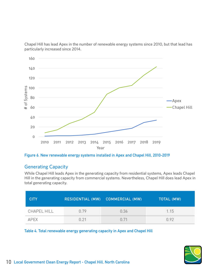

Chapel Hill has lead Apex in the number of renewable energy systems since 2010, but that lead has particularly increased since 2014.

**Figure 6. New renewable energy systems installed in Apex and Chapel Hill, 2010-2019**

### Generating Capacity

While Chapel Hill leads Apex in the generating capacity from residential systems, Apex leads Chapel Hill in the generating capacity from commercial systems. Nevertheless, Chapel Hill does lead Apex in total generating capacity.

| <b>CITY</b> |      | RESIDENTIAL (MW) COMMERCIAL (MW) | TOTAL (MW) |
|-------------|------|----------------------------------|------------|
| CHAPEL HILL | 0.79 | 0.36                             | 1.15       |
| АРЕХ        | 0.21 | 0.71                             | 0.92       |

**Table 4. Total renewable energy generating capacity in Apex and Chapel Hill**

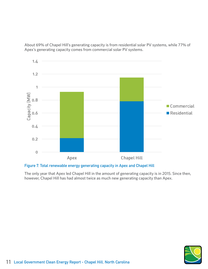About 69% of Chapel Hill's generating capacity is from residential solar PV systems, while 77% of Apex's generating capacity comes from commercial solar PV systems.



### **Figure 7. Total renewable energy generating capacity in Apex and Chapel Hill**

The only year that Apex led Chapel Hill in the amount of generating capacity is in 2015. Since then, however, Chapel Hill has had almost twice as much new generating capacity than Apex.

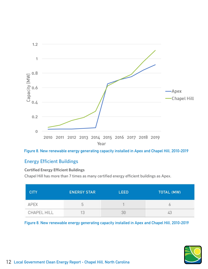



### Energy Efficient Buildings

### **Certified Energy Efficient Buildings**

Chapel Hill has more than 7 times as many certified energy efficient buildings as Apex.

| <b>CITY</b> | <b>ENERGY STAR</b> | LEED | <b>TOTAL (MW)</b> |
|-------------|--------------------|------|-------------------|
| <b>APEX</b> |                    |      |                   |
| CHAPEL HILL |                    |      |                   |

**Figure 8. New renewable energy generating capacity installed in Apex and Chapel Hill, 2010-2019**

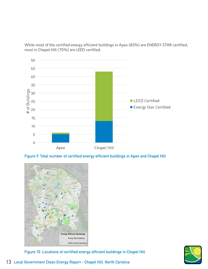While most of the certified energy efficient buildings in Apex (83%) are ENERGY STAR certified, most in Chapel Hill (70%) are LEED certified.



**Figure 9. Total number of certified energy efficient buildings in Apex and Chapel Hill**



**Figure 10. Locations of certified energy efficient buildings in Chapel Hill**

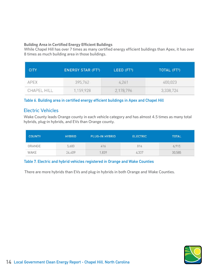### **Building Area in Certified Energy Efficient Buildings**

While Chapel Hill has over 7 times as many certified energy efficient buildings than Apex, it has over 8 times as much building area in those buildings.

| <b>CITY</b> | <b>ENERGY STAR (FT2)</b> | LEED $(FT2)$ | TOTAL (FT <sup>2</sup> ) |
|-------------|--------------------------|--------------|--------------------------|
| APEX        | 395,762                  | 4,261        | 400,023                  |
| CHAPEL HILL | 1,159,928                | 2,178,796    | 3,338,724                |

**Table 6. Building area in certified energy efficient buildings in Apex and Chapel Hill**

### Electric Vehicles

Wake County leads Orange county in each vehicle category and has almost 4.5 times as many total hybrids, plug-in hybrids, and EVs than Orange county.

| <b>COUNTY</b> | <b>HYBRID</b> | <b>PLUG-IN HYBRID</b> | <b>ELECTRIC</b> | <b>TOTAL</b> |
|---------------|---------------|-----------------------|-----------------|--------------|
| ORANGE        | 5,683         | 416                   | 816             | 6,915        |
| WAKE          | 24,409        | 1,839                 | 4,337           | 30,585       |

### **Table 7. Electric and hybrid vehicles registered in Orange and Wake Counties**

There are more hybrids than EVs and plug-in hybrids in both Orange and Wake Counties.

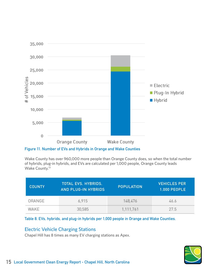

**Figure 11. Number of EVs and Hybrids in Orange and Wake Counties**

Wake County has over 960,000 more people than Orange County does, so when the total number of hybrids, plug-in hybrids, and EVs are calculated per 1,000 people, Orange County leads Wake County.13

| <b>COUNTY</b> | TOTAL EVS, HYBRIDS,<br><b>AND PLUG-IN HYBRIDS</b> | <b>POPULATION</b> | <b>VEHICLES PER</b><br>1,000 PEOPLE |
|---------------|---------------------------------------------------|-------------------|-------------------------------------|
| <b>ORANGE</b> | 6.915                                             | 148.476           | 46.6                                |
| WAKE          | 30,585                                            | 1, 111, 761       | 27.5                                |

### **Table 8. EVs, hybrids, and plug-in hybrids per 1,000 people in Orange and Wake Counties.**

### Electric Vehicle Charging Stations

Chapel Hill has 8 times as many EV charging stations as Apex.

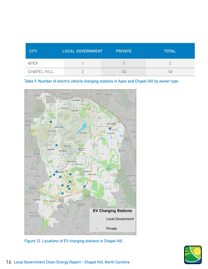| <b>CITY</b> | <b>LOCAL GOVERNMENT</b> | <b>PRIVATE</b> | <b>TOTAL</b> |
|-------------|-------------------------|----------------|--------------|
| <b>APEX</b> |                         |                |              |
| CHAPEL HILL |                         |                |              |

### **Table 9. Number of electric vehicle charging stations in Apex and Chapel Hill by owner type**



**Figure 12. Locations of EV charging stations in Chapel Hill**

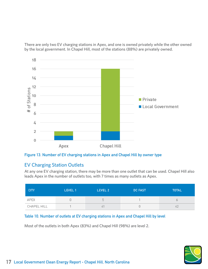There are only two EV charging stations in Apex, and one is owned privately while the other owned by the local government. In Chapel Hill, most of the stations (88%) are privately owned.





### EV Charging Station Outlets

At any one EV charging station, there may be more than one outlet that can be used. Chapel Hill also leads Apex in the number of outlets too, with 7 times as many outlets as Apex.

| <b>CITY</b> | LEVEL 1 | LEVEL 2 | <b>DC FAST</b> | <b>TOTAL</b> |
|-------------|---------|---------|----------------|--------------|
| APEX        |         | h       |                |              |
| CHAPEL HILL |         |         |                | 4            |

### **Table 10. Number of outlets at EV charging stations in Apex and Chapel Hill by level**

Most of the outlets in both Apex (83%) and Chapel Hill (98%) are level 2.

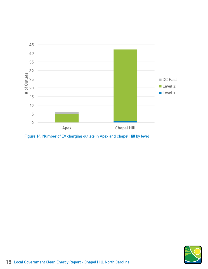

**Figure 14. Number of EV charging outlets in Apex and Chapel Hill by level**